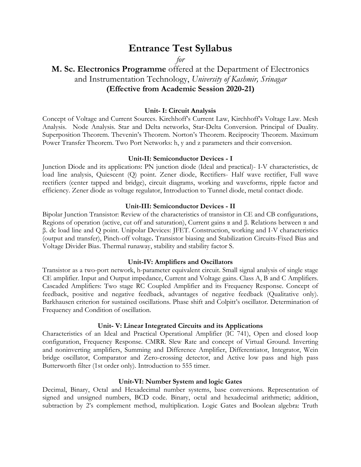# **Entrance Test Syllabus**

*for*

# **M. Sc. Electronics Programme** offered at the Department of Electronics and Instrumentation Technology, *University of Kashmir, Srinagar* **(Effective from Academic Session 2020-21)**

#### **Unit- I: Circuit Analysis**

Concept of Voltage and Current Sources. Kirchhoff's Current Law, Kirchhoff's Voltage Law. Mesh Analysis. Node Analysis. Star and Delta networks, Star-Delta Conversion. Principal of Duality. Superposition Theorem. Thevenin's Theorem. Norton's Theorem. Reciprocity Theorem. Maximum Power Transfer Theorem. Two Port Networks: h, y and z parameters and their conversion.

#### **Unit-II: Semiconductor Devices - I**

Junction Diode and its applications: PN junction diode (Ideal and practical)- I-V characteristics, dc load line analysis, Quiescent (Q) point. Zener diode, Rectifiers- Half wave rectifier, Full wave rectifiers (center tapped and bridge), circuit diagrams, working and waveforms, ripple factor and efficiency. Zener diode as voltage regulator, Introduction to Tunnel diode, metal contact diode.

## **Unit-III: Semiconductor Devices - II**

Bipolar Junction Transistor: Review of the characteristics of transistor in CE and CB configurations, Regions of operation (active, cut off and saturation), Current gains α and β. Relations between α and β. dc load line and Q point. Unipolar Devices: JFET. Construction, working and I-V characteristics (output and transfer), Pinch-off voltage**.** Transistor biasing and Stabilization Circuits-Fixed Bias and Voltage Divider Bias. Thermal runaway, stability and stability factor S.

## **Unit-IV: Amplifiers and Oscillators**

Transistor as a two-port network, h-parameter equivalent circuit. Small signal analysis of single stage CE amplifier. Input and Output impedance, Current and Voltage gains. Class A, B and C Amplifiers. Cascaded Amplifiers: Two stage RC Coupled Amplifier and its Frequency Response. Concept of feedback, positive and negative feedback, advantages of negative feedback (Qualitative only). Barkhausen criterion for sustained oscillations. Phase shift and Colpitt's oscillator. Determination of Frequency and Condition of oscillation.

## **Unit- V: Linear Integrated Circuits and its Applications**

Characteristics of an Ideal and Practical Operational Amplifier (IC 741), Open and closed loop configuration, Frequency Response. CMRR. Slew Rate and concept of Virtual Ground. Inverting and noninverting amplifiers, Summing and Difference Amplifier, Differentiator, Integrator, Wein bridge oscillator, Comparator and Zero-crossing detector, and Active low pass and high pass Butterworth filter (1st order only). Introduction to 555 timer.

## **Unit-VI: Number System and logic Gates**

Decimal, Binary, Octal and Hexadecimal number systems, base conversions. Representation of signed and unsigned numbers, BCD code. Binary, octal and hexadecimal arithmetic; addition, subtraction by 2's complement method, multiplication. Logic Gates and Boolean algebra: Truth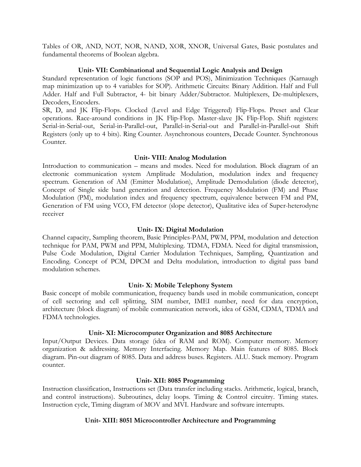Tables of OR, AND, NOT, NOR, NAND, XOR, XNOR, Universal Gates, Basic postulates and fundamental theorems of Boolean algebra.

## **Unit- VII: Combinational and Sequential Logic Analysis and Design**

Standard representation of logic functions (SOP and POS), Minimization Techniques (Karnaugh map minimization up to 4 variables for SOP). Arithmetic Circuits: Binary Addition. Half and Full Adder. Half and Full Subtractor, 4- bit binary Adder/Subtractor. Multiplexers, De-multiplexers, Decoders, Encoders.

SR, D, and JK Flip-Flops. Clocked (Level and Edge Triggered) Flip-Flops. Preset and Clear operations. Race-around conditions in JK Flip-Flop. Master-slave JK Flip-Flop. Shift registers: Serial-in-Serial-out, Serial-in-Parallel-out, Parallel-in-Serial-out and Parallel-in-Parallel-out Shift Registers (only up to 4 bits). Ring Counter. Asynchronous counters, Decade Counter. Synchronous Counter.

## **Unit- VIII: Analog Modulation**

Introduction to communication – means and modes. Need for modulation. Block diagram of an electronic communication system Amplitude Modulation, modulation index and frequency spectrum. Generation of AM (Emitter Modulation), Amplitude Demodulation (diode detector), Concept of Single side band generation and detection. Frequency Modulation (FM) and Phase Modulation (PM), modulation index and frequency spectrum, equivalence between FM and PM, Generation of FM using VCO, FM detector (slope detector), Qualitative idea of Super-heterodyne receiver

# **Unit- IX: Digital Modulation**

Channel capacity, Sampling theorem, Basic Principles-PAM, PWM, PPM, modulation and detection technique for PAM, PWM and PPM, Multiplexing. TDMA, FDMA. Need for digital transmission, Pulse Code Modulation, Digital Carrier Modulation Techniques, Sampling, Quantization and Encoding. Concept of PCM, DPCM and Delta modulation, introduction to digital pass band modulation schemes.

# **Unit- X: Mobile Telephony System**

Basic concept of mobile communication, frequency bands used in mobile communication, concept of cell sectoring and cell splitting, SIM number, IMEI number, need for data encryption, architecture (block diagram) of mobile communication network, idea of GSM, CDMA, TDMA and FDMA technologies.

# **Unit- XI: Microcomputer Organization and 8085 Architecture**

Input/Output Devices. Data storage (idea of RAM and ROM). Computer memory. Memory organization & addressing. Memory Interfacing. Memory Map. Main features of 8085. Block diagram. Pin-out diagram of 8085. Data and address buses. Registers. ALU. Stack memory. Program counter.

# **Unit- XII: 8085 Programming**

Instruction classification, Instructions set (Data transfer including stacks. Arithmetic, logical, branch, and control instructions). Subroutines, delay loops. Timing & Control circuitry. Timing states. Instruction cycle, Timing diagram of MOV and MVI. Hardware and software interrupts.

# **Unit- XIII: 8051 Microcontroller Architecture and Programming**